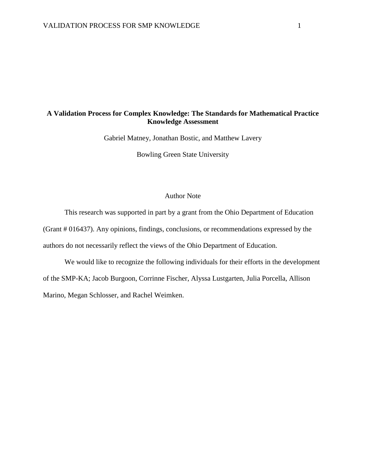# **A Validation Process for Complex Knowledge: The Standards for Mathematical Practice Knowledge Assessment**

Gabriel Matney, Jonathan Bostic, and Matthew Lavery

Bowling Green State University

# Author Note

This research was supported in part by a grant from the Ohio Department of Education (Grant # 016437). Any opinions, findings, conclusions, or recommendations expressed by the authors do not necessarily reflect the views of the Ohio Department of Education.

We would like to recognize the following individuals for their efforts in the development of the SMP-KA; Jacob Burgoon, Corrinne Fischer, Alyssa Lustgarten, Julia Porcella, Allison Marino, Megan Schlosser, and Rachel Weimken.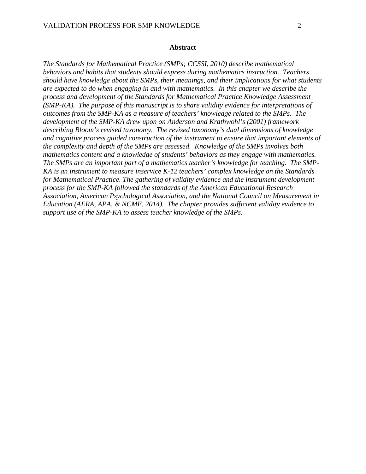*The Standards for Mathematical Practice (SMPs; CCSSI, 2010) describe mathematical behaviors and habits that students should express during mathematics instruction. Teachers should have knowledge about the SMPs, their meanings, and their implications for what students are expected to do when engaging in and with mathematics. In this chapter we describe the process and development of the Standards for Mathematical Practice Knowledge Assessment (SMP-KA). The purpose of this manuscript is to share validity evidence for interpretations of outcomes from the SMP-KA as a measure of teachers' knowledge related to the SMPs. The development of the SMP-KA drew upon on Anderson and Krathwohl's (2001) framework describing Bloom's revised taxonomy. The revised taxonomy's dual dimensions of knowledge and cognitive process guided construction of the instrument to ensure that important elements of the complexity and depth of the SMPs are assessed. Knowledge of the SMPs involves both mathematics content and a knowledge of students' behaviors as they engage with mathematics. The SMPs are an important part of a mathematics teacher's knowledge for teaching. The SMP-KA is an instrument to measure inservice K-12 teachers' complex knowledge on the Standards for Mathematical Practice. The gathering of validity evidence and the instrument development process for the SMP-KA followed the standards of the American Educational Research Association, American Psychological Association, and the National Council on Measurement in Education (AERA, APA, & NCME, 2014). The chapter provides sufficient validity evidence to support use of the SMP-KA to assess teacher knowledge of the SMPs.*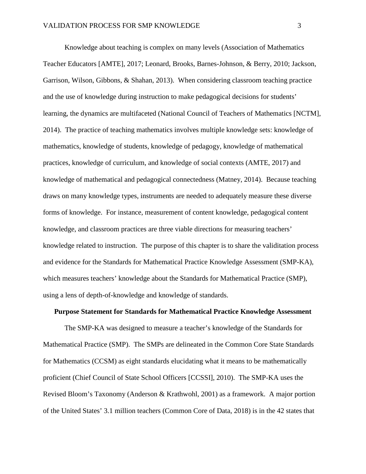Knowledge about teaching is complex on many levels (Association of Mathematics Teacher Educators [AMTE], 2017; Leonard, Brooks, Barnes-Johnson, & Berry, 2010; Jackson, Garrison, Wilson, Gibbons, & Shahan, 2013). When considering classroom teaching practice and the use of knowledge during instruction to make pedagogical decisions for students' learning, the dynamics are multifaceted (National Council of Teachers of Mathematics [NCTM], 2014). The practice of teaching mathematics involves multiple knowledge sets: knowledge of mathematics, knowledge of students, knowledge of pedagogy, knowledge of mathematical practices, knowledge of curriculum, and knowledge of social contexts (AMTE, 2017) and knowledge of mathematical and pedagogical connectedness (Matney, 2014). Because teaching draws on many knowledge types, instruments are needed to adequately measure these diverse forms of knowledge. For instance, measurement of content knowledge, pedagogical content knowledge, and classroom practices are three viable directions for measuring teachers' knowledge related to instruction. The purpose of this chapter is to share the validitation process and evidence for the Standards for Mathematical Practice Knowledge Assessment (SMP-KA), which measures teachers' knowledge about the Standards for Mathematical Practice (SMP), using a lens of depth-of-knowledge and knowledge of standards.

## **Purpose Statement for Standards for Mathematical Practice Knowledge Assessment**

The SMP-KA was designed to measure a teacher's knowledge of the Standards for Mathematical Practice (SMP). The SMPs are delineated in the Common Core State Standards for Mathematics (CCSM) as eight standards elucidating what it means to be mathematically proficient (Chief Council of State School Officers [CCSSI], 2010). The SMP-KA uses the Revised Bloom's Taxonomy (Anderson & Krathwohl, 2001) as a framework. A major portion of the United States' 3.1 million teachers (Common Core of Data, 2018) is in the 42 states that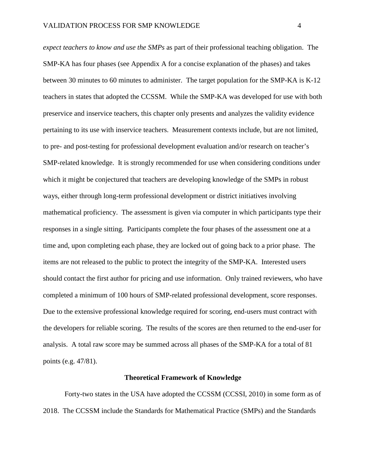*expect teachers to know and use the SMPs* as part of their professional teaching obligation. The SMP-KA has four phases (see Appendix A for a concise explanation of the phases) and takes between 30 minutes to 60 minutes to administer. The target population for the SMP-KA is K-12 teachers in states that adopted the CCSSM. While the SMP-KA was developed for use with both preservice and inservice teachers, this chapter only presents and analyzes the validity evidence pertaining to its use with inservice teachers. Measurement contexts include, but are not limited, to pre- and post-testing for professional development evaluation and/or research on teacher's SMP-related knowledge. It is strongly recommended for use when considering conditions under which it might be conjectured that teachers are developing knowledge of the SMPs in robust ways, either through long-term professional development or district initiatives involving mathematical proficiency. The assessment is given via computer in which participants type their responses in a single sitting. Participants complete the four phases of the assessment one at a time and, upon completing each phase, they are locked out of going back to a prior phase. The items are not released to the public to protect the integrity of the SMP-KA. Interested users should contact the first author for pricing and use information. Only trained reviewers, who have completed a minimum of 100 hours of SMP-related professional development, score responses. Due to the extensive professional knowledge required for scoring, end-users must contract with the developers for reliable scoring. The results of the scores are then returned to the end-user for analysis. A total raw score may be summed across all phases of the SMP-KA for a total of 81 points (e.g. 47/81).

## **Theoretical Framework of Knowledge**

Forty-two states in the USA have adopted the CCSSM (CCSSI, 2010) in some form as of 2018. The CCSSM include the Standards for Mathematical Practice (SMPs) and the Standards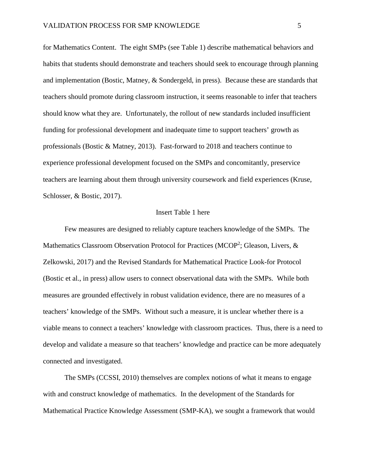for Mathematics Content. The eight SMPs (see Table 1) describe mathematical behaviors and habits that students should demonstrate and teachers should seek to encourage through planning and implementation (Bostic, Matney, & Sondergeld, in press). Because these are standards that teachers should promote during classroom instruction, it seems reasonable to infer that teachers should know what they are. Unfortunately, the rollout of new standards included insufficient funding for professional development and inadequate time to support teachers' growth as professionals (Bostic & Matney, 2013). Fast-forward to 2018 and teachers continue to experience professional development focused on the SMPs and concomitantly, preservice teachers are learning about them through university coursework and field experiences (Kruse, Schlosser, & Bostic, 2017).

## Insert Table 1 here

Few measures are designed to reliably capture teachers knowledge of the SMPs. The Mathematics Classroom Observation Protocol for Practices (MCOP<sup>2</sup>; Gleason, Livers, & Zelkowski, 2017) and the Revised Standards for Mathematical Practice Look-for Protocol (Bostic et al., in press) allow users to connect observational data with the SMPs. While both measures are grounded effectively in robust validation evidence, there are no measures of a teachers' knowledge of the SMPs. Without such a measure, it is unclear whether there is a viable means to connect a teachers' knowledge with classroom practices. Thus, there is a need to develop and validate a measure so that teachers' knowledge and practice can be more adequately connected and investigated.

The SMPs (CCSSI, 2010) themselves are complex notions of what it means to engage with and construct knowledge of mathematics. In the development of the Standards for Mathematical Practice Knowledge Assessment (SMP-KA), we sought a framework that would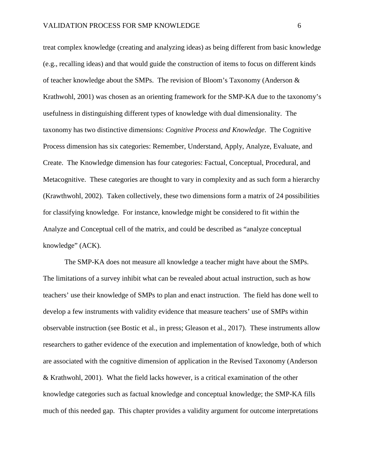treat complex knowledge (creating and analyzing ideas) as being different from basic knowledge (e.g., recalling ideas) and that would guide the construction of items to focus on different kinds of teacher knowledge about the SMPs. The revision of Bloom's Taxonomy (Anderson & Krathwohl, 2001) was chosen as an orienting framework for the SMP-KA due to the taxonomy's usefulness in distinguishing different types of knowledge with dual dimensionality. The taxonomy has two distinctive dimensions: *Cognitive Process and Knowledge*. The Cognitive Process dimension has six categories: Remember, Understand, Apply, Analyze, Evaluate, and Create. The Knowledge dimension has four categories: Factual, Conceptual, Procedural, and Metacognitive. These categories are thought to vary in complexity and as such form a hierarchy (Krawthwohl, 2002). Taken collectively, these two dimensions form a matrix of 24 possibilities for classifying knowledge. For instance, knowledge might be considered to fit within the Analyze and Conceptual cell of the matrix, and could be described as "analyze conceptual knowledge" (ACK).

The SMP-KA does not measure all knowledge a teacher might have about the SMPs. The limitations of a survey inhibit what can be revealed about actual instruction, such as how teachers' use their knowledge of SMPs to plan and enact instruction. The field has done well to develop a few instruments with validity evidence that measure teachers' use of SMPs within observable instruction (see Bostic et al., in press; Gleason et al., 2017). These instruments allow researchers to gather evidence of the execution and implementation of knowledge, both of which are associated with the cognitive dimension of application in the Revised Taxonomy (Anderson & Krathwohl, 2001). What the field lacks however, is a critical examination of the other knowledge categories such as factual knowledge and conceptual knowledge; the SMP-KA fills much of this needed gap. This chapter provides a validity argument for outcome interpretations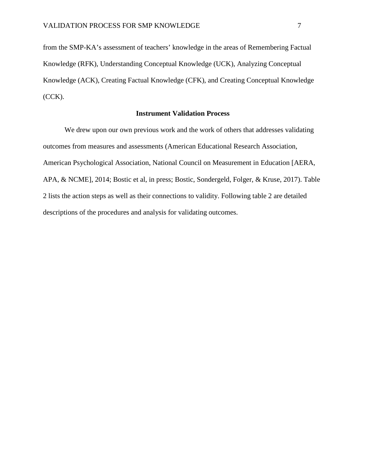from the SMP-KA's assessment of teachers' knowledge in the areas of Remembering Factual Knowledge (RFK), Understanding Conceptual Knowledge (UCK), Analyzing Conceptual Knowledge (ACK), Creating Factual Knowledge (CFK), and Creating Conceptual Knowledge (CCK).

# **Instrument Validation Process**

We drew upon our own previous work and the work of others that addresses validating outcomes from measures and assessments (American Educational Research Association, American Psychological Association, National Council on Measurement in Education [AERA, APA, & NCME], 2014; Bostic et al, in press; Bostic, Sondergeld, Folger, & Kruse, 2017). Table 2 lists the action steps as well as their connections to validity. Following table 2 are detailed descriptions of the procedures and analysis for validating outcomes.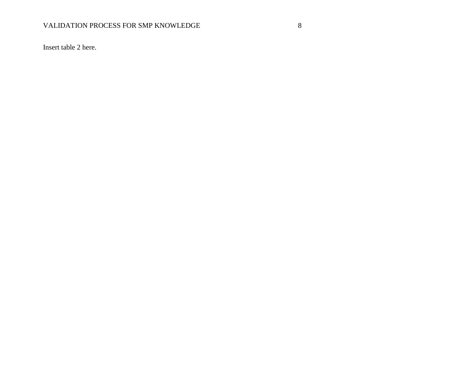# VALIDATION PROCESS FOR SMP KNOWLEDGE 8

Insert table 2 here.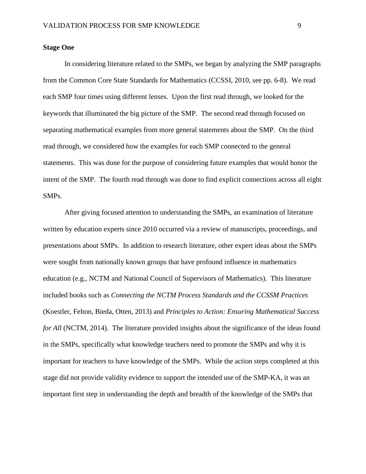## **Stage One**

In considering literature related to the SMPs, we began by analyzing the SMP paragraphs from the Common Core State Standards for Mathematics (CCSSI, 2010, see pp. 6-8). We read each SMP four times using different lenses. Upon the first read through, we looked for the keywords that illuminated the big picture of the SMP. The second read through focused on separating mathematical examples from more general statements about the SMP. On the third read through, we considered how the examples for each SMP connected to the general statements. This was done for the purpose of considering future examples that would honor the intent of the SMP. The fourth read through was done to find explicit connections across all eight SMPs.

After giving focused attention to understanding the SMPs, an examination of literature written by education experts since 2010 occurred via a review of manuscripts, proceedings, and presentations about SMPs. In addition to research literature, other expert ideas about the SMPs were sought from nationally known groups that have profound influence in mathematics education (e.g., NCTM and National Council of Supervisors of Mathematics). This literature included books such as *Connecting the NCTM Process Standards and the CCSSM Practices* (Koestler, Felton, Bieda, Otten, 2013) and *Principles to Action: Ensuring Mathematical Success for All* (NCTM, 2014). The literature provided insights about the significance of the ideas found in the SMPs, specifically what knowledge teachers need to promote the SMPs and why it is important for teachers to have knowledge of the SMPs. While the action steps completed at this stage did not provide validity evidence to support the intended use of the SMP-KA, it was an important first step in understanding the depth and breadth of the knowledge of the SMPs that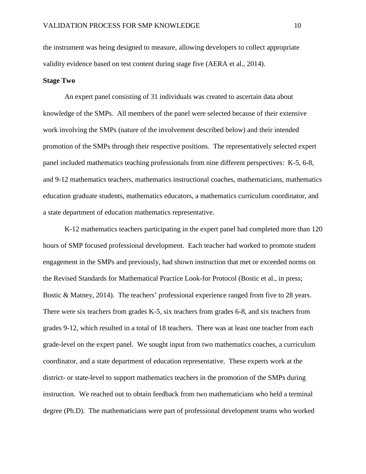the instrument was being designed to measure, allowing developers to collect appropriate validity evidence based on test content during stage five (AERA et al., 2014).

## **Stage Two**

An expert panel consisting of 31 individuals was created to ascertain data about knowledge of the SMPs. All members of the panel were selected because of their extensive work involving the SMPs (nature of the involvement described below) and their intended promotion of the SMPs through their respective positions. The representatively selected expert panel included mathematics teaching professionals from nine different perspectives: K-5, 6-8, and 9-12 mathematics teachers, mathematics instructional coaches, mathematicians, mathematics education graduate students, mathematics educators, a mathematics curriculum coordinator, and a state department of education mathematics representative.

K-12 mathematics teachers participating in the expert panel had completed more than 120 hours of SMP focused professional development. Each teacher had worked to promote student engagement in the SMPs and previously, had shown instruction that met or exceeded norms on the Revised Standards for Mathematical Practice Look-for Protocol (Bostic et al., in press; Bostic & Matney, 2014). The teachers' professional experience ranged from five to 28 years. There were six teachers from grades K-5, six teachers from grades 6-8, and six teachers from grades 9-12, which resulted in a total of 18 teachers. There was at least one teacher from each grade-level on the expert panel. We sought input from two mathematics coaches, a curriculum coordinator, and a state department of education representative. These experts work at the district- or state-level to support mathematics teachers in the promotion of the SMPs during instruction. We reached out to obtain feedback from two mathematicians who held a terminal degree (Ph.D). The mathematicians were part of professional development teams who worked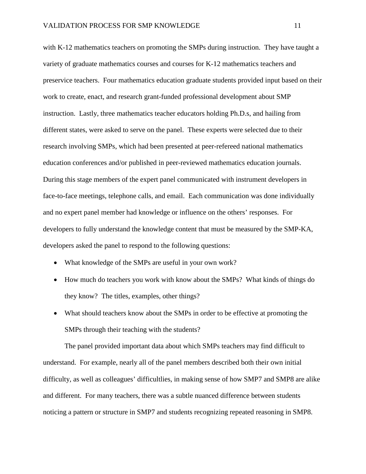with K-12 mathematics teachers on promoting the SMPs during instruction. They have taught a variety of graduate mathematics courses and courses for K-12 mathematics teachers and preservice teachers. Four mathematics education graduate students provided input based on their work to create, enact, and research grant-funded professional development about SMP instruction. Lastly, three mathematics teacher educators holding Ph.D.s, and hailing from different states, were asked to serve on the panel. These experts were selected due to their research involving SMPs, which had been presented at peer-refereed national mathematics education conferences and/or published in peer-reviewed mathematics education journals. During this stage members of the expert panel communicated with instrument developers in face-to-face meetings, telephone calls, and email. Each communication was done individually and no expert panel member had knowledge or influence on the others' responses. For developers to fully understand the knowledge content that must be measured by the SMP-KA, developers asked the panel to respond to the following questions:

- What knowledge of the SMPs are useful in your own work?
- How much do teachers you work with know about the SMPs? What kinds of things do they know? The titles, examples, other things?
- What should teachers know about the SMPs in order to be effective at promoting the SMPs through their teaching with the students?

The panel provided important data about which SMPs teachers may find difficult to understand. For example, nearly all of the panel members described both their own initial difficulty, as well as colleagues' difficultlies, in making sense of how SMP7 and SMP8 are alike and different. For many teachers, there was a subtle nuanced difference between students noticing a pattern or structure in SMP7 and students recognizing repeated reasoning in SMP8.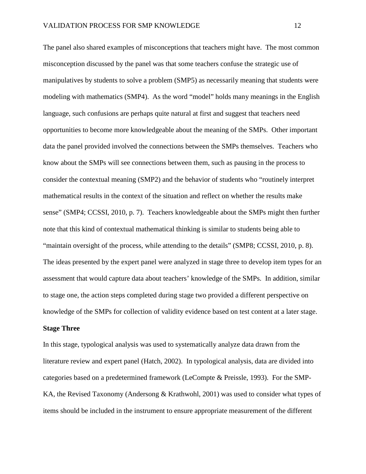The panel also shared examples of misconceptions that teachers might have. The most common misconception discussed by the panel was that some teachers confuse the strategic use of manipulatives by students to solve a problem (SMP5) as necessarily meaning that students were modeling with mathematics (SMP4). As the word "model" holds many meanings in the English language, such confusions are perhaps quite natural at first and suggest that teachers need opportunities to become more knowledgeable about the meaning of the SMPs. Other important data the panel provided involved the connections between the SMPs themselves. Teachers who know about the SMPs will see connections between them, such as pausing in the process to consider the contextual meaning (SMP2) and the behavior of students who "routinely interpret mathematical results in the context of the situation and reflect on whether the results make sense" (SMP4; CCSSI, 2010, p. 7). Teachers knowledgeable about the SMPs might then further note that this kind of contextual mathematical thinking is similar to students being able to "maintain oversight of the process, while attending to the details" (SMP8; CCSSI, 2010, p. 8). The ideas presented by the expert panel were analyzed in stage three to develop item types for an assessment that would capture data about teachers' knowledge of the SMPs. In addition, similar to stage one, the action steps completed during stage two provided a different perspective on knowledge of the SMPs for collection of validity evidence based on test content at a later stage.

### **Stage Three**

In this stage, typological analysis was used to systematically analyze data drawn from the literature review and expert panel (Hatch, 2002). In typological analysis, data are divided into categories based on a predetermined framework (LeCompte & Preissle, 1993). For the SMP-KA, the Revised Taxonomy (Andersong & Krathwohl, 2001) was used to consider what types of items should be included in the instrument to ensure appropriate measurement of the different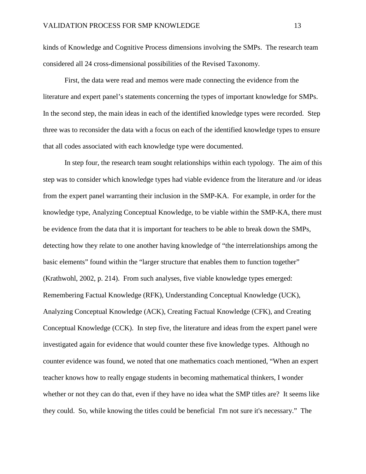kinds of Knowledge and Cognitive Process dimensions involving the SMPs. The research team considered all 24 cross-dimensional possibilities of the Revised Taxonomy.

First, the data were read and memos were made connecting the evidence from the literature and expert panel's statements concerning the types of important knowledge for SMPs. In the second step, the main ideas in each of the identified knowledge types were recorded. Step three was to reconsider the data with a focus on each of the identified knowledge types to ensure that all codes associated with each knowledge type were documented.

In step four, the research team sought relationships within each typology. The aim of this step was to consider which knowledge types had viable evidence from the literature and /or ideas from the expert panel warranting their inclusion in the SMP-KA. For example, in order for the knowledge type, Analyzing Conceptual Knowledge, to be viable within the SMP-KA, there must be evidence from the data that it is important for teachers to be able to break down the SMPs, detecting how they relate to one another having knowledge of "the interrelationships among the basic elements" found within the "larger structure that enables them to function together" (Krathwohl, 2002, p. 214). From such analyses, five viable knowledge types emerged: Remembering Factual Knowledge (RFK), Understanding Conceptual Knowledge (UCK), Analyzing Conceptual Knowledge (ACK), Creating Factual Knowledge (CFK), and Creating Conceptual Knowledge (CCK). In step five, the literature and ideas from the expert panel were investigated again for evidence that would counter these five knowledge types. Although no counter evidence was found, we noted that one mathematics coach mentioned, "When an expert teacher knows how to really engage students in becoming mathematical thinkers, I wonder whether or not they can do that, even if they have no idea what the SMP titles are? It seems like they could. So, while knowing the titles could be beneficial I'm not sure it's necessary." The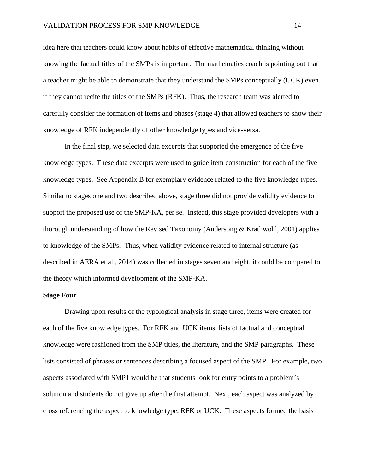idea here that teachers could know about habits of effective mathematical thinking without knowing the factual titles of the SMPs is important. The mathematics coach is pointing out that a teacher might be able to demonstrate that they understand the SMPs conceptually (UCK) even if they cannot recite the titles of the SMPs (RFK). Thus, the research team was alerted to carefully consider the formation of items and phases (stage 4) that allowed teachers to show their knowledge of RFK independently of other knowledge types and vice-versa.

In the final step, we selected data excerpts that supported the emergence of the five knowledge types. These data excerpts were used to guide item construction for each of the five knowledge types. See Appendix B for exemplary evidence related to the five knowledge types. Similar to stages one and two described above, stage three did not provide validity evidence to support the proposed use of the SMP-KA, per se. Instead, this stage provided developers with a thorough understanding of how the Revised Taxonomy (Andersong & Krathwohl, 2001) applies to knowledge of the SMPs. Thus, when validity evidence related to internal structure (as described in AERA et al., 2014) was collected in stages seven and eight, it could be compared to the theory which informed development of the SMP-KA.

## **Stage Four**

Drawing upon results of the typological analysis in stage three, items were created for each of the five knowledge types. For RFK and UCK items, lists of factual and conceptual knowledge were fashioned from the SMP titles, the literature, and the SMP paragraphs. These lists consisted of phrases or sentences describing a focused aspect of the SMP. For example, two aspects associated with SMP1 would be that students look for entry points to a problem's solution and students do not give up after the first attempt. Next, each aspect was analyzed by cross referencing the aspect to knowledge type, RFK or UCK. These aspects formed the basis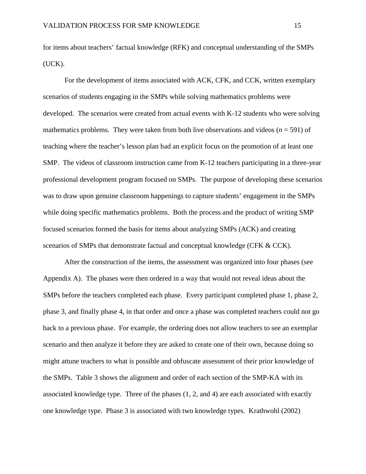for items about teachers' factual knowledge (RFK) and conceptual understanding of the SMPs (UCK).

For the development of items associated with ACK, CFK, and CCK, written exemplary scenarios of students engaging in the SMPs while solving mathematics problems were developed. The scenarios were created from actual events with K-12 students who were solving mathematics problems. They were taken from both live observations and videos ( $n = 591$ ) of teaching where the teacher's lesson plan had an explicit focus on the promotion of at least one SMP. The videos of classroom instruction came from K-12 teachers participating in a three-year professional development program focused on SMPs. The purpose of developing these scenarios was to draw upon genuine classroom happenings to capture students' engagement in the SMPs while doing specific mathematics problems. Both the process and the product of writing SMP focused scenarios formed the basis for items about analyzing SMPs (ACK) and creating scenarios of SMPs that demonstrate factual and conceptual knowledge (CFK & CCK).

After the construction of the items, the assessment was organized into four phases (see Appendix A). The phases were then ordered in a way that would not reveal ideas about the SMPs before the teachers completed each phase. Every participant completed phase 1, phase 2, phase 3, and finally phase 4, in that order and once a phase was completed teachers could not go back to a previous phase. For example, the ordering does not allow teachers to see an exemplar scenario and then analyze it before they are asked to create one of their own, because doing so might attune teachers to what is possible and obfuscate assessment of their prior knowledge of the SMPs. Table 3 shows the alignment and order of each section of the SMP-KA with its associated knowledge type. Three of the phases (1, 2, and 4) are each associated with exactly one knowledge type. Phase 3 is associated with two knowledge types. Krathwohl (2002)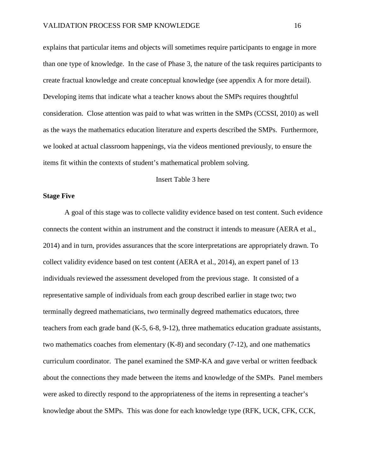explains that particular items and objects will sometimes require participants to engage in more than one type of knowledge. In the case of Phase 3, the nature of the task requires participants to create fractual knowledge and create conceptual knowledge (see appendix A for more detail). Developing items that indicate what a teacher knows about the SMPs requires thoughtful consideration. Close attention was paid to what was written in the SMPs (CCSSI, 2010) as well as the ways the mathematics education literature and experts described the SMPs. Furthermore, we looked at actual classroom happenings, via the videos mentioned previously, to ensure the items fit within the contexts of student's mathematical problem solving.

# Insert Table 3 here

## **Stage Five**

A goal of this stage was to collecte validity evidence based on test content. Such evidence connects the content within an instrument and the construct it intends to measure (AERA et al., 2014) and in turn, provides assurances that the score interpretations are appropriately drawn. To collect validity evidence based on test content (AERA et al., 2014), an expert panel of 13 individuals reviewed the assessment developed from the previous stage. It consisted of a representative sample of individuals from each group described earlier in stage two; two terminally degreed mathematicians, two terminally degreed mathematics educators, three teachers from each grade band (K-5, 6-8, 9-12), three mathematics education graduate assistants, two mathematics coaches from elementary (K-8) and secondary (7-12), and one mathematics curriculum coordinator. The panel examined the SMP-KA and gave verbal or written feedback about the connections they made between the items and knowledge of the SMPs. Panel members were asked to directly respond to the appropriateness of the items in representing a teacher's knowledge about the SMPs. This was done for each knowledge type (RFK, UCK, CFK, CCK,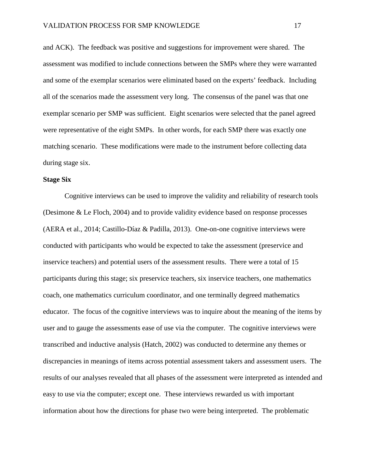and ACK). The feedback was positive and suggestions for improvement were shared. The assessment was modified to include connections between the SMPs where they were warranted and some of the exemplar scenarios were eliminated based on the experts' feedback. Including all of the scenarios made the assessment very long. The consensus of the panel was that one exemplar scenario per SMP was sufficient. Eight scenarios were selected that the panel agreed were representative of the eight SMPs. In other words, for each SMP there was exactly one matching scenario. These modifications were made to the instrument before collecting data during stage six.

## **Stage Six**

Cognitive interviews can be used to improve the validity and reliability of research tools (Desimone & Le Floch, 2004) and to provide validity evidence based on response processes (AERA et al., 2014; Castillo-Díaz & Padilla, 2013). One-on-one cognitive interviews were conducted with participants who would be expected to take the assessment (preservice and inservice teachers) and potential users of the assessment results. There were a total of 15 participants during this stage; six preservice teachers, six inservice teachers, one mathematics coach, one mathematics curriculum coordinator, and one terminally degreed mathematics educator. The focus of the cognitive interviews was to inquire about the meaning of the items by user and to gauge the assessments ease of use via the computer. The cognitive interviews were transcribed and inductive analysis (Hatch, 2002) was conducted to determine any themes or discrepancies in meanings of items across potential assessment takers and assessment users. The results of our analyses revealed that all phases of the assessment were interpreted as intended and easy to use via the computer; except one. These interviews rewarded us with important information about how the directions for phase two were being interpreted. The problematic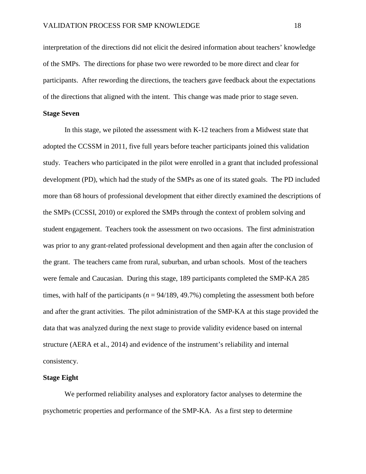interpretation of the directions did not elicit the desired information about teachers' knowledge of the SMPs. The directions for phase two were reworded to be more direct and clear for participants. After rewording the directions, the teachers gave feedback about the expectations of the directions that aligned with the intent. This change was made prior to stage seven.

## **Stage Seven**

In this stage, we piloted the assessment with K-12 teachers from a Midwest state that adopted the CCSSM in 2011, five full years before teacher participants joined this validation study. Teachers who participated in the pilot were enrolled in a grant that included professional development (PD), which had the study of the SMPs as one of its stated goals. The PD included more than 68 hours of professional development that either directly examined the descriptions of the SMPs (CCSSI, 2010) or explored the SMPs through the context of problem solving and student engagement. Teachers took the assessment on two occasions. The first administration was prior to any grant-related professional development and then again after the conclusion of the grant. The teachers came from rural, suburban, and urban schools. Most of the teachers were female and Caucasian. During this stage, 189 participants completed the SMP-KA 285 times, with half of the participants  $(n = 94/189, 49.7%)$  completing the assessment both before and after the grant activities. The pilot administration of the SMP-KA at this stage provided the data that was analyzed during the next stage to provide validity evidence based on internal structure (AERA et al., 2014) and evidence of the instrument's reliability and internal consistency.

#### **Stage Eight**

We performed reliability analyses and exploratory factor analyses to determine the psychometric properties and performance of the SMP-KA. As a first step to determine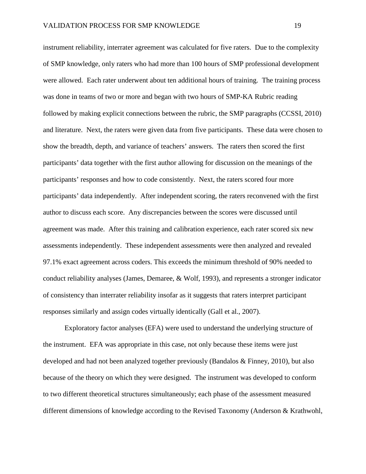instrument reliability, interrater agreement was calculated for five raters. Due to the complexity of SMP knowledge, only raters who had more than 100 hours of SMP professional development were allowed. Each rater underwent about ten additional hours of training. The training process was done in teams of two or more and began with two hours of SMP-KA Rubric reading followed by making explicit connections between the rubric, the SMP paragraphs (CCSSI, 2010) and literature. Next, the raters were given data from five participants. These data were chosen to show the breadth, depth, and variance of teachers' answers. The raters then scored the first participants' data together with the first author allowing for discussion on the meanings of the participants' responses and how to code consistently. Next, the raters scored four more participants' data independently. After independent scoring, the raters reconvened with the first author to discuss each score. Any discrepancies between the scores were discussed until agreement was made. After this training and calibration experience, each rater scored six new assessments independently. These independent assessments were then analyzed and revealed 97.1% exact agreement across coders. This exceeds the minimum threshold of 90% needed to conduct reliability analyses (James, Demaree, & Wolf, 1993), and represents a stronger indicator of consistency than interrater reliability insofar as it suggests that raters interpret participant responses similarly and assign codes virtually identically (Gall et al., 2007).

Exploratory factor analyses (EFA) were used to understand the underlying structure of the instrument. EFA was appropriate in this case, not only because these items were just developed and had not been analyzed together previously (Bandalos & Finney, 2010), but also because of the theory on which they were designed. The instrument was developed to conform to two different theoretical structures simultaneously; each phase of the assessment measured different dimensions of knowledge according to the Revised Taxonomy (Anderson & Krathwohl,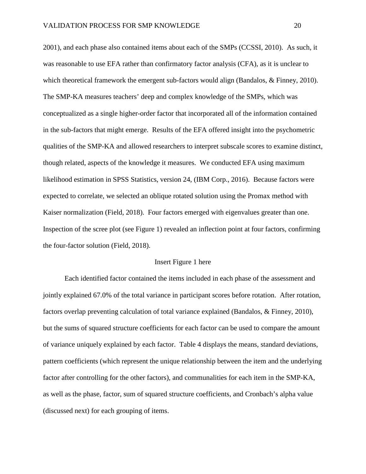2001), and each phase also contained items about each of the SMPs (CCSSI, 2010). As such, it was reasonable to use EFA rather than confirmatory factor analysis (CFA), as it is unclear to which theoretical framework the emergent sub-factors would align (Bandalos, & Finney, 2010). The SMP-KA measures teachers' deep and complex knowledge of the SMPs, which was conceptualized as a single higher-order factor that incorporated all of the information contained in the sub-factors that might emerge. Results of the EFA offered insight into the psychometric qualities of the SMP-KA and allowed researchers to interpret subscale scores to examine distinct, though related, aspects of the knowledge it measures. We conducted EFA using maximum likelihood estimation in SPSS Statistics, version 24, (IBM Corp., 2016). Because factors were expected to correlate, we selected an oblique rotated solution using the Promax method with Kaiser normalization (Field, 2018). Four factors emerged with eigenvalues greater than one. Inspection of the scree plot (see Figure 1) revealed an inflection point at four factors, confirming the four-factor solution (Field, 2018).

#### Insert Figure 1 here

Each identified factor contained the items included in each phase of the assessment and jointly explained 67.0% of the total variance in participant scores before rotation. After rotation, factors overlap preventing calculation of total variance explained (Bandalos, & Finney, 2010), but the sums of squared structure coefficients for each factor can be used to compare the amount of variance uniquely explained by each factor. Table 4 displays the means, standard deviations, pattern coefficients (which represent the unique relationship between the item and the underlying factor after controlling for the other factors), and communalities for each item in the SMP-KA, as well as the phase, factor, sum of squared structure coefficients, and Cronbach's alpha value (discussed next) for each grouping of items.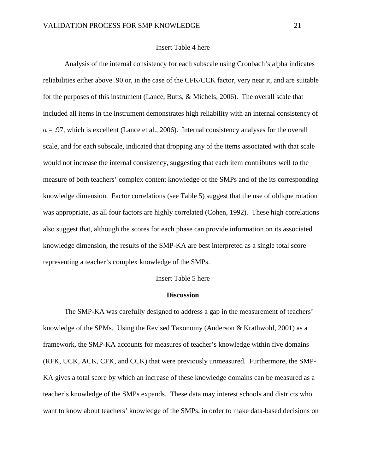## Insert Table 4 here

Analysis of the internal consistency for each subscale using Cronbach's alpha indicates reliabilities either above .90 or, in the case of the CFK/CCK factor, very near it, and are suitable for the purposes of this instrument (Lance, Butts, & Michels, 2006). The overall scale that included all items in the instrument demonstrates high reliability with an internal consistency of  $\alpha$  = .97, which is excellent (Lance et al., 2006). Internal consistency analyses for the overall scale, and for each subscale, indicated that dropping any of the items associated with that scale would not increase the internal consistency, suggesting that each item contributes well to the measure of both teachers' complex content knowledge of the SMPs and of the its corresponding knowledge dimension. Factor correlations (see Table 5) suggest that the use of oblique rotation was appropriate, as all four factors are highly correlated (Cohen, 1992). These high correlations also suggest that, although the scores for each phase can provide information on its associated knowledge dimension, the results of the SMP-KA are best interpreted as a single total score representing a teacher's complex knowledge of the SMPs.

### Insert Table 5 here

#### **Discussion**

The SMP-KA was carefully designed to address a gap in the measurement of teachers' knowledge of the SPMs. Using the Revised Taxonomy (Anderson & Krathwohl, 2001) as a framework, the SMP-KA accounts for measures of teacher's knowledge within five domains (RFK, UCK, ACK, CFK, and CCK) that were previously unmeasured. Furthermore, the SMP-KA gives a total score by which an increase of these knowledge domains can be measured as a teacher's knowledge of the SMPs expands. These data may interest schools and districts who want to know about teachers' knowledge of the SMPs, in order to make data-based decisions on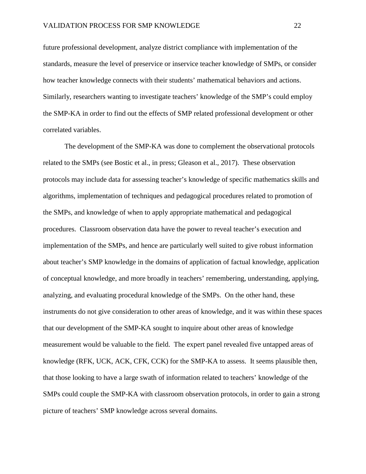future professional development, analyze district compliance with implementation of the standards, measure the level of preservice or inservice teacher knowledge of SMPs, or consider how teacher knowledge connects with their students' mathematical behaviors and actions. Similarly, researchers wanting to investigate teachers' knowledge of the SMP's could employ the SMP-KA in order to find out the effects of SMP related professional development or other correlated variables.

The development of the SMP-KA was done to complement the observational protocols related to the SMPs (see Bostic et al., in press; Gleason et al., 2017). These observation protocols may include data for assessing teacher's knowledge of specific mathematics skills and algorithms, implementation of techniques and pedagogical procedures related to promotion of the SMPs, and knowledge of when to apply appropriate mathematical and pedagogical procedures. Classroom observation data have the power to reveal teacher's execution and implementation of the SMPs, and hence are particularly well suited to give robust information about teacher's SMP knowledge in the domains of application of factual knowledge, application of conceptual knowledge, and more broadly in teachers' remembering, understanding, applying, analyzing, and evaluating procedural knowledge of the SMPs. On the other hand, these instruments do not give consideration to other areas of knowledge, and it was within these spaces that our development of the SMP-KA sought to inquire about other areas of knowledge measurement would be valuable to the field. The expert panel revealed five untapped areas of knowledge (RFK, UCK, ACK, CFK, CCK) for the SMP-KA to assess. It seems plausible then, that those looking to have a large swath of information related to teachers' knowledge of the SMPs could couple the SMP-KA with classroom observation protocols, in order to gain a strong picture of teachers' SMP knowledge across several domains.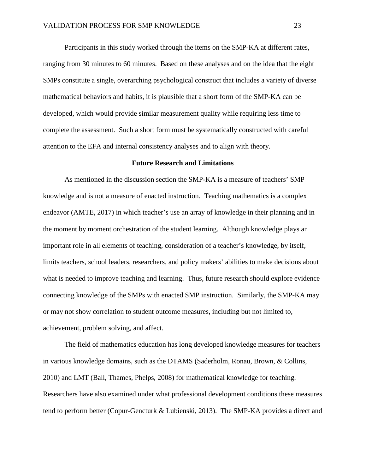Participants in this study worked through the items on the SMP-KA at different rates, ranging from 30 minutes to 60 minutes. Based on these analyses and on the idea that the eight SMPs constitute a single, overarching psychological construct that includes a variety of diverse mathematical behaviors and habits, it is plausible that a short form of the SMP-KA can be developed, which would provide similar measurement quality while requiring less time to complete the assessment. Such a short form must be systematically constructed with careful attention to the EFA and internal consistency analyses and to align with theory.

### **Future Research and Limitations**

As mentioned in the discussion section the SMP-KA is a measure of teachers' SMP knowledge and is not a measure of enacted instruction. Teaching mathematics is a complex endeavor (AMTE, 2017) in which teacher's use an array of knowledge in their planning and in the moment by moment orchestration of the student learning. Although knowledge plays an important role in all elements of teaching, consideration of a teacher's knowledge, by itself, limits teachers, school leaders, researchers, and policy makers' abilities to make decisions about what is needed to improve teaching and learning. Thus, future research should explore evidence connecting knowledge of the SMPs with enacted SMP instruction. Similarly, the SMP-KA may or may not show correlation to student outcome measures, including but not limited to, achievement, problem solving, and affect.

The field of mathematics education has long developed knowledge measures for teachers in various knowledge domains, such as the DTAMS (Saderholm, Ronau, Brown, & Collins, 2010) and LMT (Ball, Thames, Phelps, 2008) for mathematical knowledge for teaching. Researchers have also examined under what professional development conditions these measures tend to perform better (Copur-Gencturk & Lubienski, 2013). The SMP-KA provides a direct and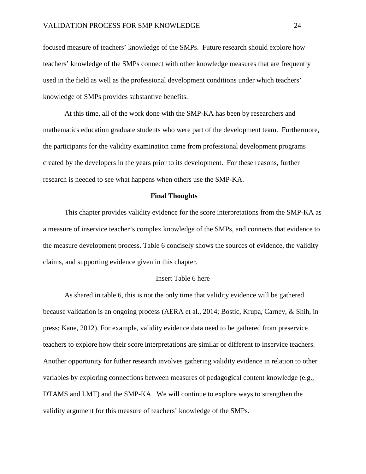focused measure of teachers' knowledge of the SMPs. Future research should explore how teachers' knowledge of the SMPs connect with other knowledge measures that are frequently used in the field as well as the professional development conditions under which teachers' knowledge of SMPs provides substantive benefits.

At this time, all of the work done with the SMP-KA has been by researchers and mathematics education graduate students who were part of the development team. Furthermore, the participants for the validity examination came from professional development programs created by the developers in the years prior to its development. For these reasons, further research is needed to see what happens when others use the SMP-KA.

## **Final Thoughts**

This chapter provides validity evidence for the score interpretations from the SMP-KA as a measure of inservice teacher's complex knowledge of the SMPs, and connects that evidence to the measure development process. Table 6 concisely shows the sources of evidence, the validity claims, and supporting evidence given in this chapter.

### Insert Table 6 here

As shared in table 6, this is not the only time that validity evidence will be gathered because validation is an ongoing process (AERA et al., 2014; Bostic, Krupa, Carney, & Shih, in press; Kane, 2012). For example, validity evidence data need to be gathered from preservice teachers to explore how their score interpretations are similar or different to inservice teachers. Another opportunity for futher research involves gathering validity evidence in relation to other variables by exploring connections between measures of pedagogical content knowledge (e.g., DTAMS and LMT) and the SMP-KA. We will continue to explore ways to strengthen the validity argument for this measure of teachers' knowledge of the SMPs.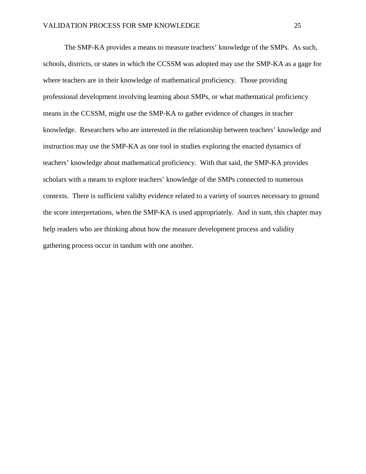The SMP-KA provides a means to measure teachers' knowledge of the SMPs. As such, schools, districts, or states in which the CCSSM was adopted may use the SMP-KA as a gage for where teachers are in their knowledge of mathematical proficiency. Those providing professional development involving learning about SMPs, or what mathematical proficiency means in the CCSSM, might use the SMP-KA to gather evidence of changes in teacher knowledge. Researchers who are interested in the relationship between teachers' knowledge and instruction may use the SMP-KA as one tool in studies exploring the enacted dynamics of teachers' knowledge about mathematical proficiency. With that said, the SMP-KA provides scholars with a means to explore teachers' knowledge of the SMPs connected to numerous contexts. There is sufficient validty evidence related to a variety of sources necessary to ground the score interpretations, when the SMP-KA is used appropriately. And in sum, this chapter may help readers who are thinking about how the measure development process and validity gathering process occur in tandum with one another.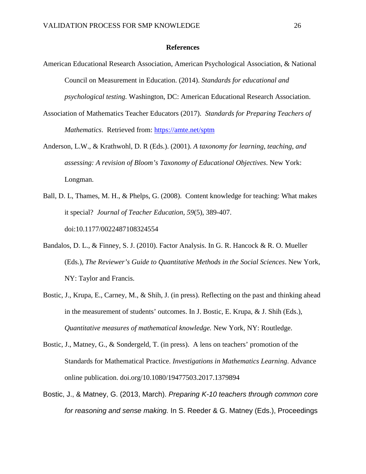## **References**

- American Educational Research Association, American Psychological Association, & National Council on Measurement in Education. (2014). *Standards for educational and psychological testing.* Washington, DC: American Educational Research Association.
- Association of Mathematics Teacher Educators (2017). *Standards for Preparing Teachers of Mathematics*. Retrieved from:<https://amte.net/sptm>
- Anderson, L.W., & Krathwohl, D. R (Eds.). (2001). *A taxonomy for learning, teaching, and assessing: A revision of Bloom's Taxonomy of Educational Objectives*. New York: Longman.
- Ball, D. L, Thames, M. H., & Phelps, G. (2008). Content knowledge for teaching: What makes it special? *Journal of Teacher Education, 59*(5), 389-407. doi:10.1177/0022487108324554
- Bandalos, D. L., & Finney, S. J. (2010). Factor Analysis. In G. R. Hancock & R. O. Mueller (Eds.), *The Reviewer's Guide to Quantitative Methods in the Social Sciences*. New York, NY: Taylor and Francis.
- Bostic, J., Krupa, E., Carney, M., & Shih, J. (in press). Reflecting on the past and thinking ahead in the measurement of students' outcomes. In J. Bostic, E. Krupa, & J. Shih (Eds.), *Quantitative measures of mathematical knowledge.* New York, NY: Routledge.
- Bostic, J., Matney, G., & Sondergeld, T. (in press). A lens on teachers' promotion of the Standards for Mathematical Practice. *Investigations in Mathematics Learning*. Advance online publication. doi.org/10.1080/19477503.2017.1379894
- Bostic, J., & Matney, G. (2013, March). *Preparing K-10 teachers through common core for reasoning and sense making.* In S. Reeder & G. Matney (Eds.), Proceedings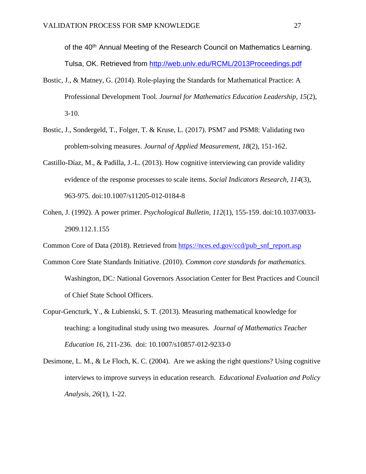of the 40<sup>th</sup> Annual Meeting of the Research Council on Mathematics Learning. Tulsa, OK. Retrieved from<http://web.unlv.edu/RCML/2013Proceedings.pdf>

- Bostic, J., & Matney, G. (2014). Role-playing the Standards for Mathematical Practice: A Professional Development Tool*. Journal for Mathematics Education Leadership, 15*(2),  $3-10.$
- Bostic, J., Sondergeld, T., Folger, T. & Kruse, L. (2017). PSM7 and PSM8: Validating two problem-solving measures. *Journal of Applied Measurement, 18*(2), 151-162.
- Castillo-Díaz, M., & Padilla, J.-L. (2013). How cognitive interviewing can provide validity evidence of the response processes to scale items. *Social Indicators Research, 114*(3), 963-975. doi:10.1007/s11205-012-0184-8
- Cohen, J. (1992). A power primer. *Psychological Bulletin, 112*(1), 155-159. doi:10.1037/0033- 2909.112.1.155
- Common Core of Data (2018). Retrieved from [https://nces.ed.gov/ccd/pub\\_snf\\_report.asp](https://nces.ed.gov/ccd/pub_snf_report.asp)
- Common Core State Standards Initiative. (2010). *Common core standards for mathematics.* Washington, DC*:* National Governors Association Center for Best Practices and Council of Chief State School Officers.
- Copur-Gencturk, Y., & Lubienski, S. T. (2013). Measuring mathematical knowledge for teaching: a longitudinal study using two measures. *Journal of Mathematics Teacher Education 16*, 211-236. doi: 10.1007/s10857-012-9233-0
- Desimone, L. M., & Le Floch, K. C. (2004). Are we asking the right questions? Using cognitive interviews to improve surveys in education research. *Educational Evaluation and Policy Analysis, 26*(1), 1-22.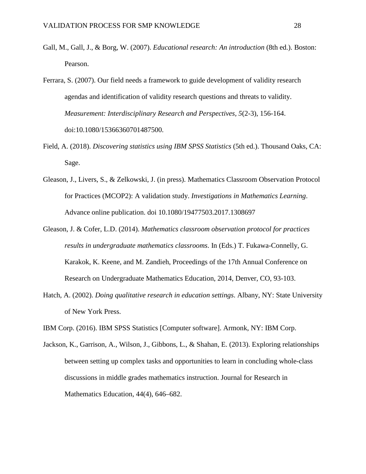- Gall, M., Gall, J., & Borg, W. (2007). *Educational research: An introduction* (8th ed.). Boston: Pearson.
- Ferrara, S. (2007). Our field needs a framework to guide development of validity research agendas and identification of validity research questions and threats to validity. *Measurement: Interdisciplinary Research and Perspectives, 5*(2-3), 156-164. doi:10.1080/15366360701487500.
- Field, A. (2018). *Discovering statistics using IBM SPSS Statistics* (5th ed.). Thousand Oaks, CA: Sage.
- Gleason, J., Livers, S., & Zelkowski, J. (in press). Mathematics Classroom Observation Protocol for Practices (MCOP2): A validation study. *Investigations in Mathematics Learning*. Advance online publication. doi 10.1080/19477503.2017.1308697
- Gleason, J. & Cofer, L.D. (2014). *Mathematics classroom observation protocol for practices results in undergraduate mathematics classrooms*. In (Eds.) T. Fukawa-Connelly, G. Karakok, K. Keene, and M. Zandieh, Proceedings of the 17th Annual Conference on Research on Undergraduate Mathematics Education, 2014, Denver, CO, 93-103.
- Hatch, A. (2002). *Doing qualitative research in education settings*. Albany, NY: State University of New York Press.
- IBM Corp. (2016). IBM SPSS Statistics [Computer software]. Armonk, NY: IBM Corp.
- Jackson, K., Garrison, A., Wilson, J., Gibbons, L., & Shahan, E. (2013). Exploring relationships between setting up complex tasks and opportunities to learn in concluding whole-class discussions in middle grades mathematics instruction. Journal for Research in Mathematics Education, 44(4), 646–682.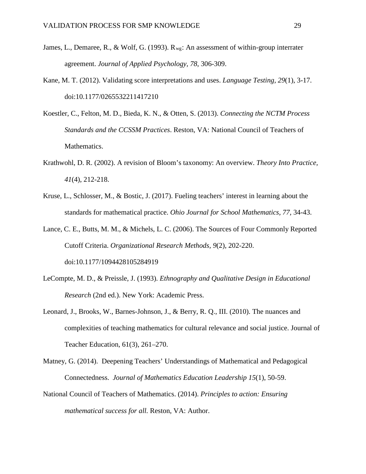- James, L., Demaree, R., & Wolf, G. (1993).  $R_{we}$ : An assessment of within-group interrater agreement. *Journal of Applied Psychology, 78*, 306-309.
- Kane, M. T. (2012). Validating score interpretations and uses. *Language Testing, 29*(1), 3-17. doi:10.1177/0265532211417210
- Koestler, C., Felton, M. D., Bieda, K. N., & Otten, S. (2013). *Connecting the NCTM Process Standards and the CCSSM Practices*. Reston, VA: National Council of Teachers of Mathematics.
- Krathwohl, D. R. (2002). A revision of Bloom's taxonomy: An overview. *Theory Into Practice, 41*(4), 212-218.
- Kruse, L., Schlosser, M., & Bostic, J. (2017). Fueling teachers' interest in learning about the standards for mathematical practice. *Ohio Journal for School Mathematics, 77,* 34-43.
- Lance, C. E., Butts, M. M., & Michels, L. C. (2006). The Sources of Four Commonly Reported Cutoff Criteria. *Organizational Research Methods, 9*(2), 202-220. doi:10.1177/1094428105284919
- LeCompte, M. D., & Preissle, J. (1993). *Ethnography and Qualitative Design in Educational Research* (2nd ed.). New York: Academic Press.
- Leonard, J., Brooks, W., Barnes-Johnson, J., & Berry, R. Q., III. (2010). The nuances and complexities of teaching mathematics for cultural relevance and social justice. Journal of Teacher Education, 61(3), 261–270.
- Matney, G. (2014). Deepening Teachers' Understandings of Mathematical and Pedagogical Connectedness. *Journal of Mathematics Education Leadership 15*(1), 50-59.
- National Council of Teachers of Mathematics. (2014). *Principles to action: Ensuring mathematical success for all.* Reston, VA: Author.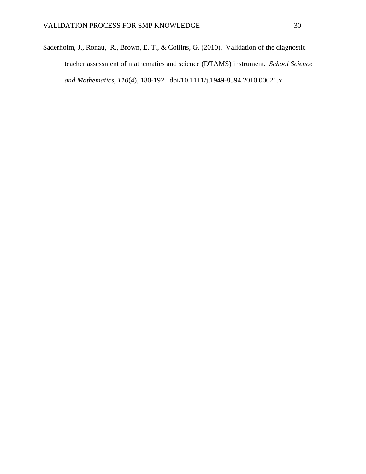Saderholm, J., Ronau, R., Brown, E. T., & Collins, G. (2010). Validation of the diagnostic teacher assessment of mathematics and science (DTAMS) instrument. *School Science and Mathematics*, *110*(4), 180-192. doi/10.1111/j.1949-8594.2010.00021.x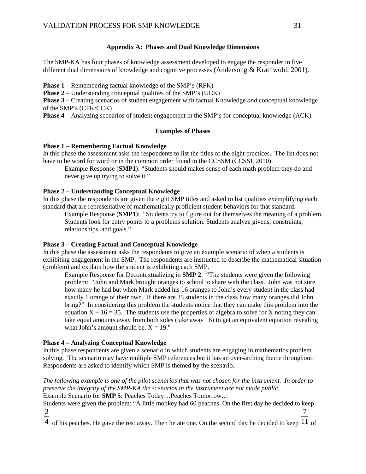## **Appendix A: Phases and Dual Knowledge Dimensions**

The SMP-KA has four phases of knowledge assessment developed to engage the responder in five different dual dimensions of knowledge and cognitive processes (Andersong & Krathwohl, 2001).

**Phase 1** – Remembering factual knowledge of the SMP's (RFK)

**Phase 2** – Understanding conceptual qualities of the SMP's (UCK)

**Phase 3** – Creating scenarios of student engagement with factual Knowledge *and* conceptual knowledge of the SMP's (CFK/CCK)

**Phase 4** – Analyzing scenarios of student engagement in the SMP's for conceptual knowledge (ACK)

## **Examples of Phases**

## **Phase 1 – Remembering Factual Knowledge**

In this phase the assessment asks the respondents to list the titles of the eight practices. The list does not have to be word for word or in the common order found in the CCSSM (CCSSI, 2010).

Example Response (**SMP1**): "Students should makes sense of each math problem they do and never give up trying to solve it."

## **Phase 2 – Understanding Conceptual Knowledge**

In this phase the respondents are given the eight SMP titles and asked to list qualities exemplifying each standard that are representative of mathematically proficient student behaviors for that standard.

Example Response (**SMP1**): "Students try to figure out for themselves the meaning of a problem. Students look for entry points to a problems solution. Students analyze givens, constraints, relationships, and goals."

## **Phase 3 – Creating Factual and Conceptual Knowledge**

In this phase the assessment asks the respondents to give an example scenario of when a students is exhibiting engagement in the SMP. The respondents are instructed to describe the mathematical situation (problem) and explain how the student is exhibiting each SMP.

Example Response for Decontextualizing in **SMP 2**: "The students were given the following problem: "John and Mark brought oranges to school to share with the class. John was not sure how many he had but when Mark added his 16 oranges to John's every student in the class had exactly 1 orange of their own. If there are 35 students in the class how many oranges did John bring?" In considering this problem the students notice that they can make this problem into the equation  $X + 16 = 35$ . The students use the properties of algebra to solve for X noting they can take equal amounts away from both sides (take away 16) to get an equivalent equation revealing what John's amount should be.  $X = 19$ ."

# **Phase 4 – Analyzing Conceptual Knowledge**

In this phase respondents are given a scenario in which students are engaging in mathematics problem solving. The scenario may have multiple SMP references but it has an over-arching theme throughout. Respondents are asked to identify which SMP is themed by the scenario.

*The following example is one of the pilot scenarios that was not chosen for the instrument. In order to preserve the integrity of the SMP-KA the scenarios in the instrument are not made public.*  Example Scenario for **SMP 5**: Peaches Today…Peaches Tomorrow…

Students were given the problem: "A little monkey had 60 peaches. On the first day he decided to keep 3 7

4 of his peaches. He gave the rest away. Then he ate one. On the second day he decided to keep  $11$  of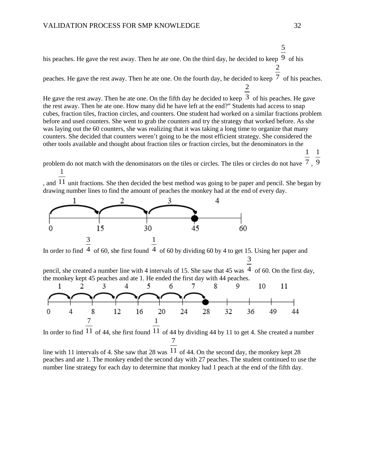his peaches. He gave the rest away. Then he ate one. On the third day, he decided to keep  $\frac{9}{9}$  of his 2

peaches. He gave the rest away. Then he ate one. On the fourth day, he decided to keep  $\frac{7}{7}$  of his peaches.

He gave the rest away. Then he ate one. On the fifth day he decided to keep  $\,3\,$  of his peaches. He gave the rest away. Then he ate one. How many did he have left at the end?" Students had access to snap cubes, fraction tiles, fraction circles, and counters. One student had worked on a similar fractions problem before and used counters. She went to grab the counters and try the strategy that worked before. As she was laying out the 60 counters, she was realizing that it was taking a long time to organize that many counters. She decided that counters weren't going to be the most efficient strategy. She considered the other tools available and thought about fraction tiles or fraction circles, but the denominators in the

> 1 1

problem do not match with the denominators on the tiles or circles. The tiles or circles do not have  $7, 9$ 1

, and  $11$  unit fractions. She then decided the best method was going to be paper and pencil. She began by drawing number lines to find the amount of peaches the monkey had at the end of every day.



In order to find  $\frac{4}{3}$  of 60, she first found  $\frac{4}{3}$  of 60 by dividing 60 by 4 to get 15. Using her paper and 3

pencil, she created a number line with 4 intervals of 15. She saw that 45 was  $\frac{4}{1}$  of 60. On the first day, the monkey kept 45 peaches and ate 1. He ended the first day with 44 peaches.



In order to find  $11$  of 44, she first found  $11$  of 44 by dividing 44 by 11 to get 4. She created a number 7

line with 11 intervals of 4. She saw that 28 was  $11$  of 44. On the second day, the monkey kept 28 peaches and ate 1. The monkey ended the second day with 27 peaches. The student continued to use the number line strategy for each day to determine that monkey had 1 peach at the end of the fifth day.

5

2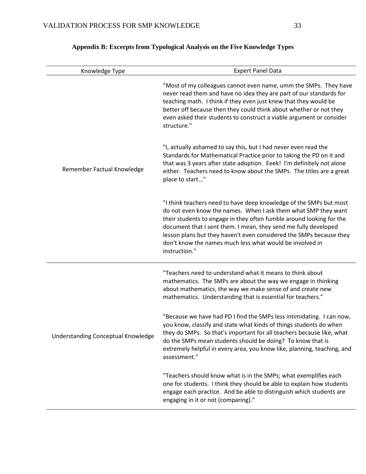| Knowledge Type                     | <b>Expert Panel Data</b>                                                                                                                                                                                                                                                                                                                                                                                                            |
|------------------------------------|-------------------------------------------------------------------------------------------------------------------------------------------------------------------------------------------------------------------------------------------------------------------------------------------------------------------------------------------------------------------------------------------------------------------------------------|
|                                    | "Most of my colleagues cannot even name, umm the SMPs. They have<br>never read them and have no idea they are part of our standards for<br>teaching math. I think if they even just knew that they would be<br>better off because then they could think about whether or not they<br>even asked their students to construct a viable argument or consider<br>structure."                                                            |
| Remember Factual Knowledge         | "I, actually ashamed to say this, but I had never even read the<br>Standards for Mathematical Practice prior to taking the PD on it and<br>that was 3 years after state adoption. Eeek! I'm definitely not alone<br>either. Teachers need to know about the SMPs. The titles are a great<br>place to start"                                                                                                                         |
|                                    | "I think teachers need to have deep knowledge of the SMPs but most<br>do not even know the names. When I ask them what SMP they want<br>their students to engage in they often fumble around looking for the<br>document that I sent them. I mean, they send me fully developed<br>lesson plans but they haven't even considered the SMPs because they<br>don't know the names much less what would be involved in<br>instruction." |
|                                    | "Teachers need to understand what it means to think about<br>mathematics. The SMPs are about the way we engage in thinking<br>about mathematics, the way we make sense of and create new<br>mathematics. Understanding that is essential for teachers."                                                                                                                                                                             |
| Understanding Conceptual Knowledge | "Because we have had PD I find the SMPs less intimidating. I can now,<br>you know, classify and state what kinds of things students do when<br>they do SMPs. So that's important for all teachers because like, what<br>do the SMPs mean students should be doing? To know that is<br>extremely helpful in every area, you know like, planning, teaching, and<br>assessment."                                                       |
|                                    | "Teachers should know what is in the SMPs; what exemplifies each<br>one for students. I think they should be able to explain how students<br>engage each practice. And be able to distinguish which students are<br>engaging in it or not (comparing)."                                                                                                                                                                             |

# **Appendix B: Excerpts from Typological Analysis on the Five Knowledge Types**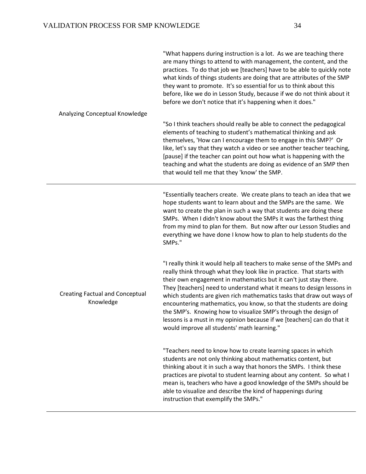| "What happens during instruction is a lot. As we are teaching there<br>are many things to attend to with management, the content, and the<br>practices. To do that job we [teachers] have to be able to quickly note<br>what kinds of things students are doing that are attributes of the SMP<br>they want to promote. It's so essential for us to think about this<br>before, like we do in Lesson Study, because if we do not think about it<br>before we don't notice that it's happening when it does."                                                                                                                                 |
|----------------------------------------------------------------------------------------------------------------------------------------------------------------------------------------------------------------------------------------------------------------------------------------------------------------------------------------------------------------------------------------------------------------------------------------------------------------------------------------------------------------------------------------------------------------------------------------------------------------------------------------------|
| "So I think teachers should really be able to connect the pedagogical<br>elements of teaching to student's mathematical thinking and ask<br>themselves, 'How can I encourage them to engage in this SMP?' Or<br>like, let's say that they watch a video or see another teacher teaching,<br>[pause] if the teacher can point out how what is happening with the<br>teaching and what the students are doing as evidence of an SMP then<br>that would tell me that they 'know' the SMP.                                                                                                                                                       |
| "Essentially teachers create. We create plans to teach an idea that we<br>hope students want to learn about and the SMPs are the same. We<br>want to create the plan in such a way that students are doing these<br>SMPs. When I didn't know about the SMPs it was the farthest thing<br>from my mind to plan for them. But now after our Lesson Studies and<br>everything we have done I know how to plan to help students do the<br>SMPs."                                                                                                                                                                                                 |
| "I really think it would help all teachers to make sense of the SMPs and<br>really think through what they look like in practice. That starts with<br>their own engagement in mathematics but it can't just stay there.<br>They [teachers] need to understand what it means to design lessons in<br>which students are given rich mathematics tasks that draw out ways of<br>encountering mathematics, you know, so that the students are doing<br>the SMP's. Knowing how to visualize SMP's through the design of<br>lessons is a must in my opinion because if we [teachers] can do that it<br>would improve all students' math learning." |
| "Teachers need to know how to create learning spaces in which<br>students are not only thinking about mathematics content, but<br>thinking about it in such a way that honors the SMPs. I think these<br>practices are pivotal to student learning about any content. So what I<br>mean is, teachers who have a good knowledge of the SMPs should be<br>able to visualize and describe the kind of happenings during<br>instruction that exemplify the SMPs."                                                                                                                                                                                |
|                                                                                                                                                                                                                                                                                                                                                                                                                                                                                                                                                                                                                                              |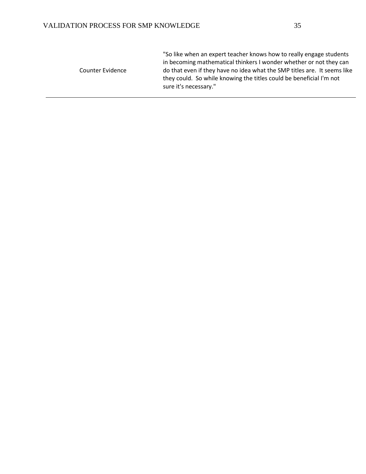|                  | "So like when an expert teacher knows how to really engage students      |
|------------------|--------------------------------------------------------------------------|
|                  | in becoming mathematical thinkers I wonder whether or not they can       |
| Counter Evidence | do that even if they have no idea what the SMP titles are. It seems like |
|                  | they could. So while knowing the titles could be beneficial I'm not      |
|                  | sure it's necessary."                                                    |
|                  |                                                                          |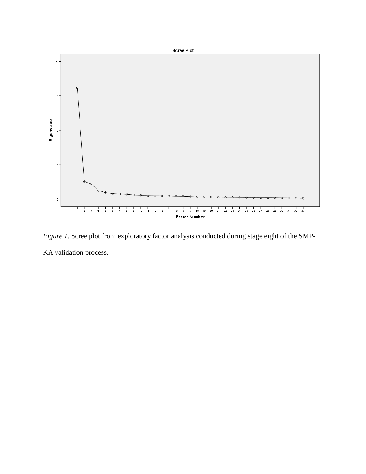

*Figure 1*. Scree plot from exploratory factor analysis conducted during stage eight of the SMP-KA validation process.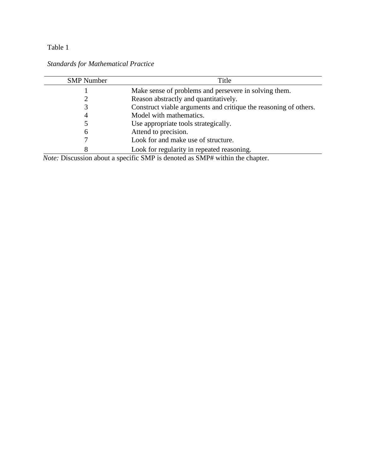| <b>SMP</b> Number                | Title                                                                                                                                                                                                                                                                                                                                                       |  |  |
|----------------------------------|-------------------------------------------------------------------------------------------------------------------------------------------------------------------------------------------------------------------------------------------------------------------------------------------------------------------------------------------------------------|--|--|
|                                  | Make sense of problems and persevere in solving them.                                                                                                                                                                                                                                                                                                       |  |  |
|                                  | Reason abstractly and quantitatively.                                                                                                                                                                                                                                                                                                                       |  |  |
|                                  | Construct viable arguments and critique the reasoning of others.                                                                                                                                                                                                                                                                                            |  |  |
|                                  | Model with mathematics.                                                                                                                                                                                                                                                                                                                                     |  |  |
|                                  | Use appropriate tools strategically.                                                                                                                                                                                                                                                                                                                        |  |  |
| h                                | Attend to precision.                                                                                                                                                                                                                                                                                                                                        |  |  |
|                                  | Look for and make use of structure.                                                                                                                                                                                                                                                                                                                         |  |  |
|                                  | Look for regularity in repeated reasoning.                                                                                                                                                                                                                                                                                                                  |  |  |
| $\mathbf{v}$<br>$\mathbf{\cdot}$ | $\mathcal{C}$ $\mathcal{C}$ $\mathcal{C}$ $\mathcal{C}$ $\mathcal{C}$ $\mathcal{C}$ $\mathcal{C}$ $\mathcal{C}$ $\mathcal{C}$ $\mathcal{C}$ $\mathcal{C}$ $\mathcal{C}$ $\mathcal{C}$ $\mathcal{C}$ $\mathcal{C}$ $\mathcal{C}$ $\mathcal{C}$ $\mathcal{C}$ $\mathcal{C}$ $\mathcal{C}$ $\mathcal{C}$ $\mathcal{C}$ $\mathcal{C}$ $\mathcal{C}$ $\mathcal{$ |  |  |

*Note:* Discussion about a specific SMP is denoted as SMP# within the chapter.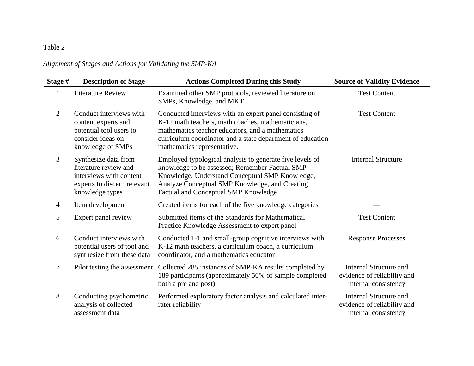# *Alignment of Stages and Actions for Validating the SMP-KA*

| Stage #        | <b>Description of Stage</b>                                                                                                | <b>Actions Completed During this Study</b>                                                                                                                                                                                                                    | <b>Source of Validity Evidence</b>                                                   |
|----------------|----------------------------------------------------------------------------------------------------------------------------|---------------------------------------------------------------------------------------------------------------------------------------------------------------------------------------------------------------------------------------------------------------|--------------------------------------------------------------------------------------|
| $\mathbf{1}$   | <b>Literature Review</b>                                                                                                   | Examined other SMP protocols, reviewed literature on<br>SMPs, Knowledge, and MKT                                                                                                                                                                              | <b>Test Content</b>                                                                  |
| 2              | Conduct interviews with<br>content experts and<br>potential tool users to<br>consider ideas on<br>knowledge of SMPs        | Conducted interviews with an expert panel consisting of<br>K-12 math teachers, math coaches, mathematicians,<br>mathematics teacher educators, and a mathematics<br>curriculum coordinator and a state department of education<br>mathematics representative. | <b>Test Content</b>                                                                  |
| 3              | Synthesize data from<br>literature review and<br>interviews with content<br>experts to discern relevant<br>knowledge types | Employed typological analysis to generate five levels of<br>knowledge to be assessed; Remember Factual SMP<br>Knowledge, Understand Conceptual SMP Knowledge,<br>Analyze Conceptual SMP Knowledge, and Creating<br>Factual and Conceptual SMP Knowledge       | <b>Internal Structure</b>                                                            |
| $\overline{4}$ | Item development                                                                                                           | Created items for each of the five knowledge categories                                                                                                                                                                                                       |                                                                                      |
| 5              | Expert panel review                                                                                                        | Submitted items of the Standards for Mathematical<br>Practice Knowledge Assessment to expert panel                                                                                                                                                            | <b>Test Content</b>                                                                  |
| 6              | Conduct interviews with<br>potential users of tool and<br>synthesize from these data                                       | Conducted 1-1 and small-group cognitive interviews with<br>K-12 math teachers, a curriculum coach, a curriculum<br>coordinator, and a mathematics educator                                                                                                    | <b>Response Processes</b>                                                            |
| $\tau$         |                                                                                                                            | Pilot testing the assessment Collected 285 instances of SMP-KA results completed by<br>189 participants (approximately 50% of sample completed<br>both a pre and post)                                                                                        | <b>Internal Structure and</b><br>evidence of reliability and<br>internal consistency |
| 8              | Conducting psychometric<br>analysis of collected<br>assessment data                                                        | Performed exploratory factor analysis and calculated inter-<br>rater reliability                                                                                                                                                                              | <b>Internal Structure and</b><br>evidence of reliability and<br>internal consistency |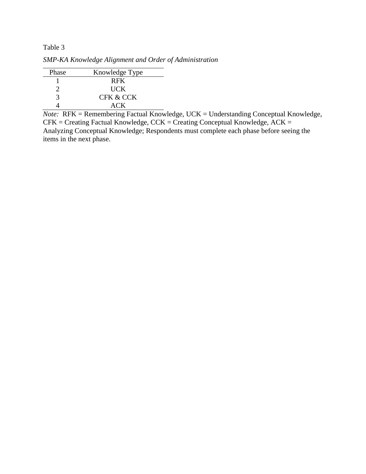*SMP-KA Knowledge Alignment and Order of Administration*

| Phase | Knowledge Type |
|-------|----------------|
|       | <b>RFK</b>     |
|       | <b>UCK</b>     |
| 2     | CFK & CCK      |
|       | ACK.           |

*Note:* RFK = Remembering Factual Knowledge, UCK = Understanding Conceptual Knowledge, CFK = Creating Factual Knowledge, CCK = Creating Conceptual Knowledge, ACK = Analyzing Conceptual Knowledge; Respondents must complete each phase before seeing the items in the next phase.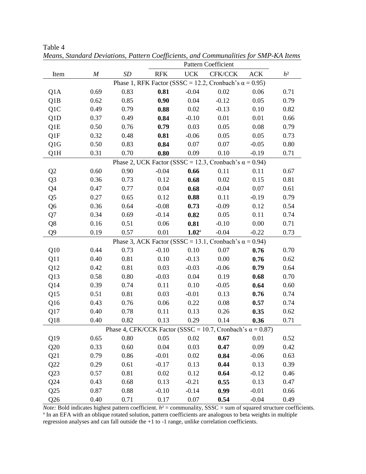|                |                                                               |                   | <b>Pattern Coefficient</b> |                   |                                                                   |            |                |
|----------------|---------------------------------------------------------------|-------------------|----------------------------|-------------------|-------------------------------------------------------------------|------------|----------------|
| Item           | $\cal M$                                                      | $\boldsymbol{SD}$ | <b>RFK</b>                 | <b>UCK</b>        | CFK/CCK                                                           | <b>ACK</b> | h <sup>2</sup> |
|                | Phase 1, RFK Factor (SSSC = 12.2, Cronbach's $\alpha$ = 0.95) |                   |                            |                   |                                                                   |            |                |
| Q1A            | 0.69                                                          | 0.83              | 0.81                       | $-0.04$           | 0.02                                                              | 0.06       | 0.71           |
| Q1B            | 0.62                                                          | 0.85              | 0.90                       | 0.04              | $-0.12$                                                           | 0.05       | 0.79           |
| Q1C            | 0.49                                                          | 0.79              | 0.88                       | 0.02              | $-0.13$                                                           | 0.10       | 0.82           |
| Q1D            | 0.37                                                          | 0.49              | 0.84                       | $-0.10$           | 0.01                                                              | 0.01       | 0.66           |
| Q1E            | 0.50                                                          | 0.76              | 0.79                       | 0.03              | 0.05                                                              | 0.08       | 0.79           |
| Q1F            | 0.32                                                          | 0.48              | 0.81                       | $-0.06$           | 0.05                                                              | 0.05       | 0.73           |
| Q1G            | 0.50                                                          | 0.83              | 0.84                       | 0.07              | 0.07                                                              | $-0.05$    | 0.80           |
| Q1H            | 0.31                                                          | 0.70              | 0.80                       | 0.09              | 0.10                                                              | $-0.19$    | 0.71           |
|                |                                                               |                   |                            |                   | Phase 2, UCK Factor (SSSC = 12.3, Cronbach's $\alpha$ = 0.94)     |            |                |
| Q2             | 0.60                                                          | 0.90              | $-0.04$                    | 0.66              | 0.11                                                              | 0.11       | 0.67           |
| Q <sub>3</sub> | 0.36                                                          | 0.73              | 0.12                       | 0.68              | 0.02                                                              | 0.15       | 0.81           |
| Q4             | 0.47                                                          | 0.77              | 0.04                       | 0.68              | $-0.04$                                                           | 0.07       | 0.61           |
| Q5             | 0.27                                                          | 0.65              | 0.12                       | 0.88              | 0.11                                                              | $-0.19$    | 0.79           |
| Q <sub>6</sub> | 0.36                                                          | 0.64              | $-0.08$                    | 0.73              | $-0.09$                                                           | 0.12       | 0.54           |
| Q7             | 0.34                                                          | 0.69              | $-0.14$                    | 0.82              | 0.05                                                              | 0.11       | 0.74           |
| Q8             | 0.16                                                          | 0.51              | 0.06                       | 0.81              | $-0.10$                                                           | 0.00       | 0.71           |
| Q9             | 0.19                                                          | 0.57              | 0.01                       | 1.02 <sup>a</sup> | $-0.04$                                                           | $-0.22$    | 0.73           |
|                |                                                               |                   |                            |                   | Phase 3, ACK Factor (SSSC = 13.1, Cronbach's $\alpha$ = 0.94)     |            |                |
| Q10            | 0.44                                                          | 0.73              | $-0.10$                    | 0.10              | 0.07                                                              | 0.76       | 0.70           |
| Q11            | 0.40                                                          | 0.81              | 0.10                       | $-0.13$           | 0.00                                                              | 0.76       | 0.62           |
| Q12            | 0.42                                                          | 0.81              | 0.03                       | $-0.03$           | $-0.06$                                                           | 0.79       | 0.64           |
| Q13            | 0.58                                                          | 0.80              | $-0.03$                    | 0.04              | 0.19                                                              | 0.68       | 0.70           |
| Q14            | 0.39                                                          | 0.74              | 0.11                       | 0.10              | $-0.05$                                                           | 0.64       | 0.60           |
| Q15            | 0.51                                                          | 0.81              | 0.03                       | $-0.01$           | 0.13                                                              | 0.76       | 0.74           |
| Q16            | 0.43                                                          | 0.76              | 0.06                       | 0.22              | 0.08                                                              | 0.57       | 0.74           |
| Q17            | 0.40                                                          | 0.78              | 0.11                       | 0.13              | 0.26                                                              | 0.35       | 0.62           |
| Q18            | 0.40                                                          | 0.82              | 0.13                       | 0.29              | 0.14                                                              | 0.36       | 0.71           |
|                |                                                               |                   |                            |                   | Phase 4, CFK/CCK Factor (SSSC = 10.7, Cronbach's $\alpha$ = 0.87) |            |                |
| Q19            | 0.65                                                          | 0.80              | 0.05                       | 0.02              | 0.67                                                              | 0.01       | 0.52           |
| Q20            | 0.33                                                          | 0.60              | 0.04                       | 0.03              | 0.47                                                              | 0.09       | 0.42           |
| Q21            | 0.79                                                          | 0.86              | $-0.01$                    | 0.02              | 0.84                                                              | $-0.06$    | 0.63           |
| Q22            | 0.29                                                          | 0.61              | $-0.17$                    | 0.13              | 0.44                                                              | 0.13       | 0.39           |
| Q23            | 0.57                                                          | 0.81              | 0.02                       | 0.12              | 0.64                                                              | $-0.12$    | 0.46           |
| Q24            | 0.43                                                          | 0.68              | 0.13                       | $-0.21$           | 0.55                                                              | 0.13       | 0.47           |
| Q25            | 0.87                                                          | 0.88              | $-0.10$                    | $-0.14$           | 0.99                                                              | $-0.01$    | 0.66           |
| Q26            | 0.40                                                          | 0.71              | 0.17                       | 0.07              | 0.54                                                              | $-0.04$    | 0.49           |

*Means, Standard Deviations, Pattern Coefficients, and Communalities for SMP-KA Items* 

*Note:* Bold indicates highest pattern coefficient.  $h^2$  = communality, SSSC = sum of squared structure coefficients. <sup>a</sup> In an EFA with an oblique rotated solution, pattern coefficients are analogous to beta weights in multiple regression analyses and can fall outside the +1 to -1 range, unlike correlation coefficients.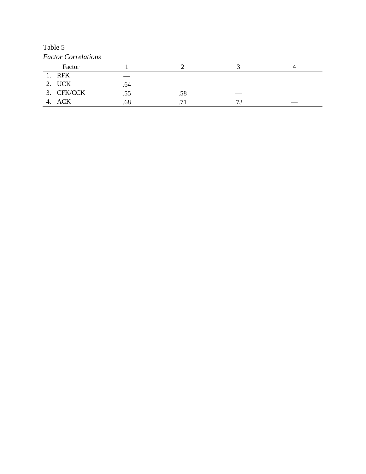Table 5 *Factor Correlations*

| Factor     |     |           |     |  |
|------------|-----|-----------|-----|--|
| 1. RFK     |     |           |     |  |
| 2. UCK     | .64 |           |     |  |
| 3. CFK/CCK | .55 | .58       |     |  |
| 4. ACK     | .68 | $\bullet$ | .73 |  |